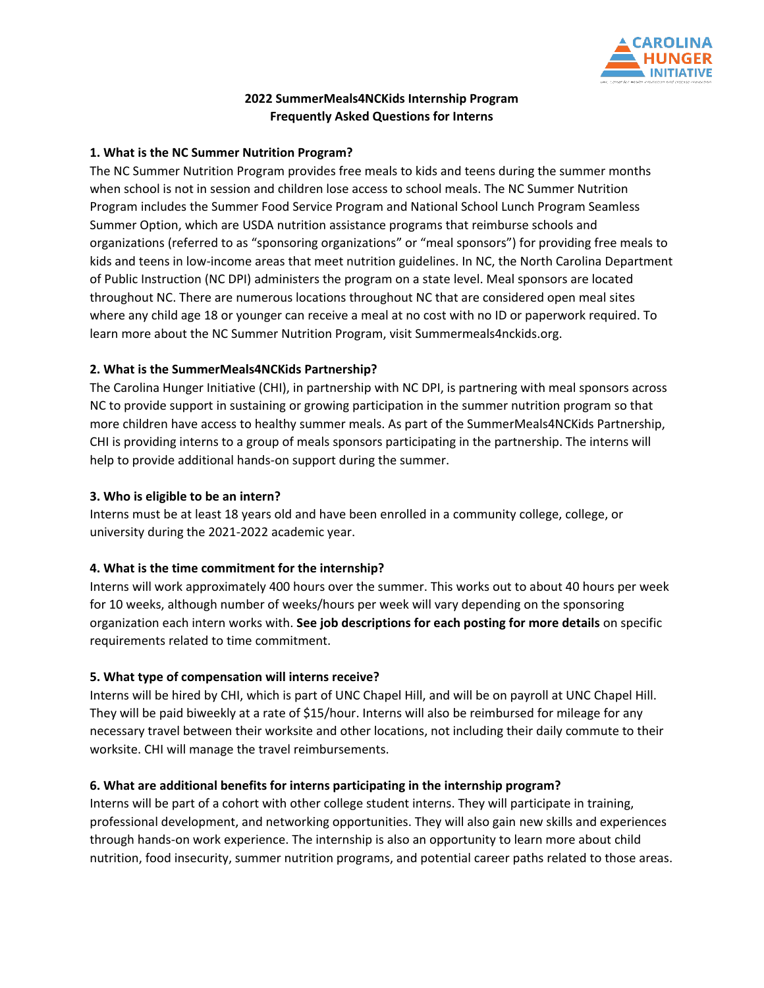

# **2022 SummerMeals4NCKids Internship Program Frequently Asked Questions for Interns**

### **1. What is the NC Summer Nutrition Program?**

The NC Summer Nutrition Program provides free meals to kids and teens during the summer months when school is not in session and children lose access to school meals. The NC Summer Nutrition Program includes the Summer Food Service Program and National School Lunch Program Seamless Summer Option, which are USDA nutrition assistance programs that reimburse schools and organizations (referred to as "sponsoring organizations" or "meal sponsors") for providing free meals to kids and teens in low-income areas that meet nutrition guidelines. In NC, the North Carolina Department of Public Instruction (NC DPI) administers the program on a state level. Meal sponsors are located throughout NC. There are numerous locations throughout NC that are considered open meal sites where any child age 18 or younger can receive a meal at no cost with no ID or paperwork required. To learn more about the NC Summer Nutrition Program, visit Summermeals4nckids.org.

## **2. What is the SummerMeals4NCKids Partnership?**

The Carolina Hunger Initiative (CHI), in partnership with NC DPI, is partnering with meal sponsors across NC to provide support in sustaining or growing participation in the summer nutrition program so that more children have access to healthy summer meals. As part of the SummerMeals4NCKids Partnership, CHI is providing interns to a group of meals sponsors participating in the partnership. The interns will help to provide additional hands-on support during the summer.

### **3. Who is eligible to be an intern?**

Interns must be at least 18 years old and have been enrolled in a community college, college, or university during the 2021-2022 academic year.

# **4. What is the time commitment for the internship?**

Interns will work approximately 400 hours over the summer. This works out to about 40 hours per week for 10 weeks, although number of weeks/hours per week will vary depending on the sponsoring organization each intern works with. **See job descriptions for each posting for more details** on specific requirements related to time commitment.

# **5. What type of compensation will interns receive?**

Interns will be hired by CHI, which is part of UNC Chapel Hill, and will be on payroll at UNC Chapel Hill. They will be paid biweekly at a rate of \$15/hour. Interns will also be reimbursed for mileage for any necessary travel between their worksite and other locations, not including their daily commute to their worksite. CHI will manage the travel reimbursements.

# **6. What are additional benefits for interns participating in the internship program?**

Interns will be part of a cohort with other college student interns. They will participate in training, professional development, and networking opportunities. They will also gain new skills and experiences through hands-on work experience. The internship is also an opportunity to learn more about child nutrition, food insecurity, summer nutrition programs, and potential career paths related to those areas.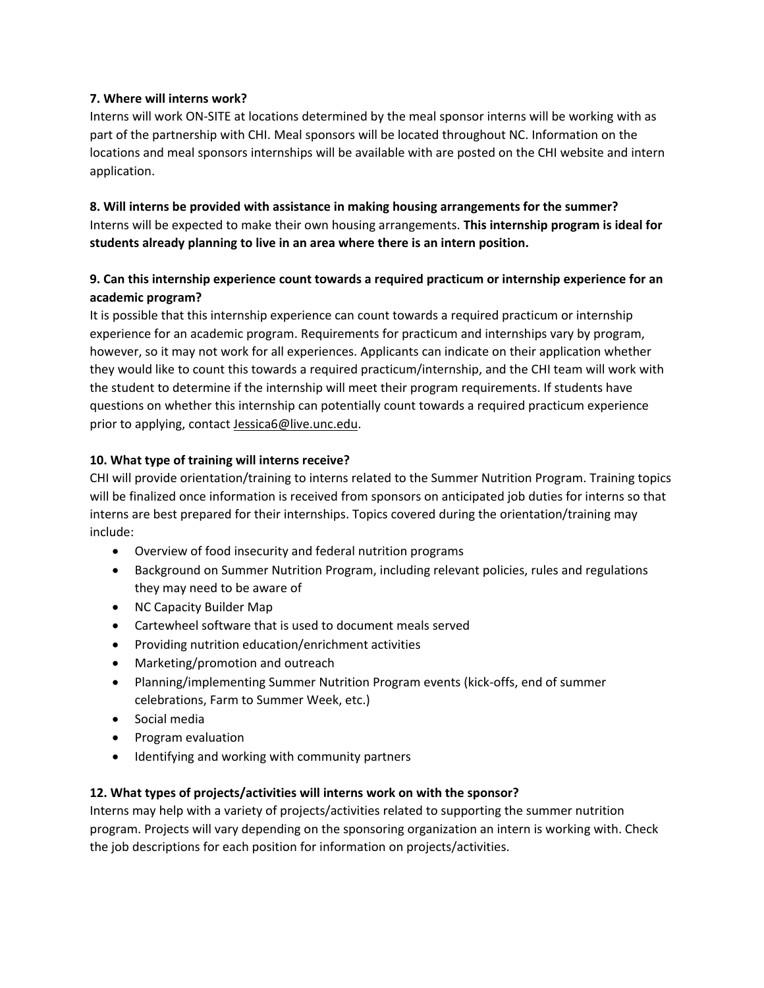## **7. Where will interns work?**

Interns will work ON-SITE at locations determined by the meal sponsor interns will be working with as part of the partnership with CHI. Meal sponsors will be located throughout NC. Information on the locations and meal sponsors internships will be available with are posted on the CHI website and intern application.

**8. Will interns be provided with assistance in making housing arrangements for the summer?** Interns will be expected to make their own housing arrangements. **This internship program is ideal for students already planning to live in an area where there is an intern position.**

# **9. Can this internship experience count towards a required practicum or internship experience for an academic program?**

It is possible that this internship experience can count towards a required practicum or internship experience for an academic program. Requirements for practicum and internships vary by program, however, so it may not work for all experiences. Applicants can indicate on their application whether they would like to count this towards a required practicum/internship, and the CHI team will work with the student to determine if the internship will meet their program requirements. If students have questions on whether this internship can potentially count towards a required practicum experience prior to applying, contact [Jessica6@live.unc.edu.](mailto:Jessica6@live.unc.edu)

# **10. What type of training will interns receive?**

CHI will provide orientation/training to interns related to the Summer Nutrition Program. Training topics will be finalized once information is received from sponsors on anticipated job duties for interns so that interns are best prepared for their internships. Topics covered during the orientation/training may include:

- Overview of food insecurity and federal nutrition programs
- Background on Summer Nutrition Program, including relevant policies, rules and regulations they may need to be aware of
- NC Capacity Builder Map
- Cartewheel software that is used to document meals served
- Providing nutrition education/enrichment activities
- Marketing/promotion and outreach
- Planning/implementing Summer Nutrition Program events (kick-offs, end of summer celebrations, Farm to Summer Week, etc.)
- Social media
- Program evaluation
- Identifying and working with community partners

### **12. What types of projects/activities will interns work on with the sponsor?**

Interns may help with a variety of projects/activities related to supporting the summer nutrition program. Projects will vary depending on the sponsoring organization an intern is working with. Check the job descriptions for each position for information on projects/activities.